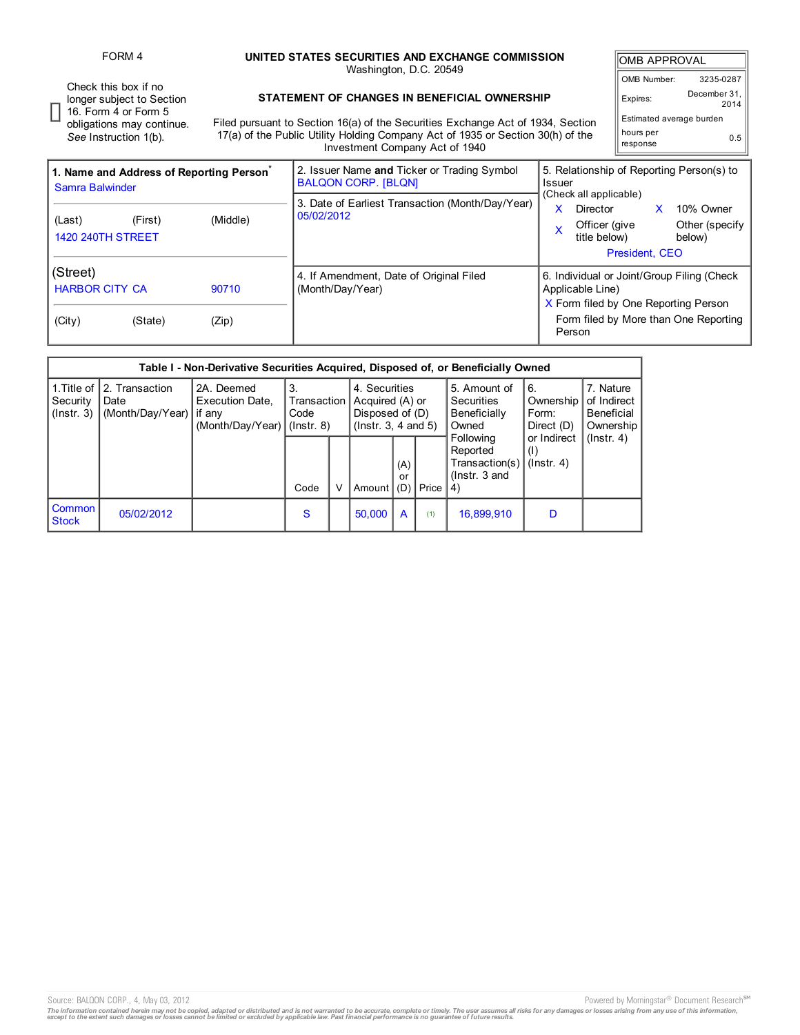Check this box if no longer subject to Section

FORM 4 **UNITED STATES SECURITIES AND EXCHANGE COMMISSION** Washington, D.C. 20549

|                                  | <b>OMB APPROVAL</b>      |                      |  |  |  |  |  |  |
|----------------------------------|--------------------------|----------------------|--|--|--|--|--|--|
|                                  | OMB Number:              | 3235-0287            |  |  |  |  |  |  |
| ion<br>٦e                        | Expires:                 | December 31,<br>2014 |  |  |  |  |  |  |
|                                  | Estimated average burden |                      |  |  |  |  |  |  |
|                                  | hours per<br>response    | 0.5                  |  |  |  |  |  |  |
| onehin of Renorting Pereon(e) to |                          |                      |  |  |  |  |  |  |

16. Form 4 or Form 5 obligations may continue. *See* Instruction 1(b).

## **STATEMENT OF CHANGES IN BENEFICIAL OWNERSHIP**

Filed pursuant to Section 16(a) of the Securities Exchange Act of 1934, Section 17(a) of the Public Utility Holding Company Act of 1935 or Section 30(h) of the Investment Company Act of 1940

| 1. Name and Address of Reporting Person <sup>®</sup><br>Samra Balwinder |         |                | 2. Issuer Name and Ticker or Trading Symbol<br><b>BALQON CORP. [BLQN]</b> | 5. Relationship of Reporting Person(s) to<br>Issuer                                                                                                        |  |  |  |  |  |
|-------------------------------------------------------------------------|---------|----------------|---------------------------------------------------------------------------|------------------------------------------------------------------------------------------------------------------------------------------------------------|--|--|--|--|--|
| (Last)<br><b>1420 240TH STREET</b>                                      | (First) | (Middle)       | 3. Date of Earliest Transaction (Month/Day/Year)<br>05/02/2012            | (Check all applicable)<br>x<br>10% Owner<br>Director<br>Other (specify  <br>Officer (give<br>x<br>title below)<br>below)<br>President, CEO                 |  |  |  |  |  |
| (Street)<br><b>HARBOR CITY CA</b><br>(City)                             | (State) | 90710<br>(Zip) | 4. If Amendment, Date of Original Filed<br>(Month/Day/Year)               | 6. Individual or Joint/Group Filing (Check)<br>Applicable Line)<br>X Form filed by One Reporting Person<br>Form filed by More than One Reporting<br>Person |  |  |  |  |  |

|                                             |                                            | Table I - Non-Derivative Securities Acquired, Disposed of, or Beneficially Owned |                                                                                                                               |  |                |           |                                                            |                                                                     |                                                     |                  |
|---------------------------------------------|--------------------------------------------|----------------------------------------------------------------------------------|-------------------------------------------------------------------------------------------------------------------------------|--|----------------|-----------|------------------------------------------------------------|---------------------------------------------------------------------|-----------------------------------------------------|------------------|
| 1. Title of<br>Security<br>$($ lnstr. 3 $)$ | 2. Transaction<br>Date<br>(Month/Day/Year) | 2A. Deemed<br><b>Execution Date,</b><br>if any<br>(Month/Day/Year)               | 3.<br>4. Securities<br>Acquired (A) or<br>Transaction<br>Disposed of (D)<br>Code<br>$($ lnstr. 3, 4 and 5)<br>$($ lnstr. $8)$ |  |                |           | 5. Amount of<br><b>Securities</b><br>Beneficially<br>Owned | 6.<br>Ownership<br>Form:<br>Direct (D)                              | 7. Nature<br>of Indirect<br>Beneficial<br>Ownership |                  |
|                                             |                                            |                                                                                  | Code                                                                                                                          |  | Amount $ $ (D) | (A)<br>or | Price                                                      | Following<br>Reported<br>Transaction(s)<br>$($ lnstr, $3$ and<br>4) | or Indirect<br>(1)<br>$($ lnstr. 4 $)$              | $($ lnstr. 4 $)$ |
| <b>Common</b><br><b>Stock</b>               | 05/02/2012                                 |                                                                                  | S                                                                                                                             |  | 50.000         | A         | (1)                                                        | 16,899,910                                                          | D                                                   |                  |

Source: BALQON CORP., 4, May 03, 2012 2012 2012 2012 2012 2012 2013 2014 2014 2015 2016 2017 2018 2019 2017 201

The information contained herein may not be copied, adapted or distributed and is not warranted to be accurate, complete or timely. The user assumes all risks for any damages or losses arising from any use of this informat